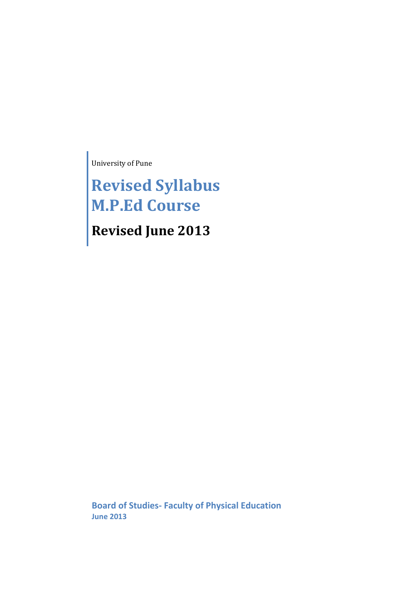University of Pune

**Revised Syllabus M.P.Ed Course Revised June 2013**

**Board of Studies- Faculty of Physical Education June 2013**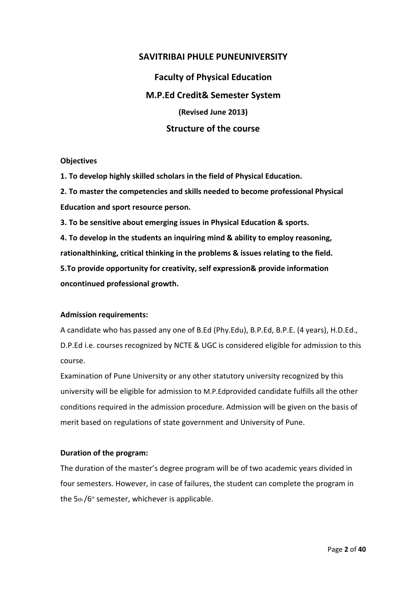## **SAVITRIBAI PHULE PUNEUNIVERSITY**

**Faculty of Physical Education M.P.Ed Credit& Semester System (Revised June 2013) Structure of the course** 

#### **Objectives**

**1. To develop highly skilled scholars in the field of Physical Education.** 

**2. To master the competencies and skills needed to become professional Physical Education and sport resource person.** 

**3. To be sensitive about emerging issues in Physical Education & sports.** 

**4. To develop in the students an inquiring mind & ability to employ reasoning, rationalthinking, critical thinking in the problems & issues relating to the field. 5.To provide opportunity for creativity, self expression& provide information oncontinued professional growth.** 

## **Admission requirements:**

A candidate who has passed any one of B.Ed (Phy.Edu), B.P.Ed, B.P.E. (4 years), H.D.Ed., D.P.Ed i.e. courses recognized by NCTE & UGC is considered eligible for admission to this course.

Examination of Pune University or any other statutory university recognized by this university will be eligible for admission to M.P.Edprovided candidate fulfills all the other conditions required in the admission procedure. Admission will be given on the basis of merit based on regulations of state government and University of Pune.

## **Duration of the program:**

The duration of the master's degree program will be of two academic years divided in four semesters. However, in case of failures, the student can complete the program in the  $5<sub>th</sub>/6<sup>th</sup>$  semester, whichever is applicable.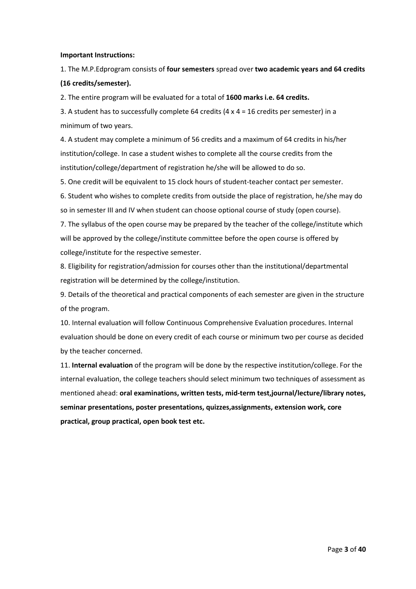#### **Important Instructions:**

1. The M.P.Edprogram consists of **four semesters** spread over **two academic years and 64 credits (16 credits/semester).** 

2. The entire program will be evaluated for a total of **1600 marks i.e. 64 credits.** 

3. A student has to successfully complete 64 credits (4 x 4 = 16 credits per semester) in a minimum of two years.

4. A student may complete a minimum of 56 credits and a maximum of 64 credits in his/her institution/college. In case a student wishes to complete all the course credits from the institution/college/department of registration he/she will be allowed to do so.

5. One credit will be equivalent to 15 clock hours of student-teacher contact per semester.

6. Student who wishes to complete credits from outside the place of registration, he/she may do so in semester III and IV when student can choose optional course of study (open course).

7. The syllabus of the open course may be prepared by the teacher of the college/institute which will be approved by the college/institute committee before the open course is offered by college/institute for the respective semester.

8. Eligibility for registration/admission for courses other than the institutional/departmental registration will be determined by the college/institution.

9. Details of the theoretical and practical components of each semester are given in the structure of the program.

10. Internal evaluation will follow Continuous Comprehensive Evaluation procedures. Internal evaluation should be done on every credit of each course or minimum two per course as decided by the teacher concerned.

11. **Internal evaluation** of the program will be done by the respective institution/college. For the internal evaluation, the college teachers should select minimum two techniques of assessment as mentioned ahead: **oral examinations, written tests, mid-term test,journal/lecture/library notes, seminar presentations, poster presentations, quizzes,assignments, extension work, core practical, group practical, open book test etc.**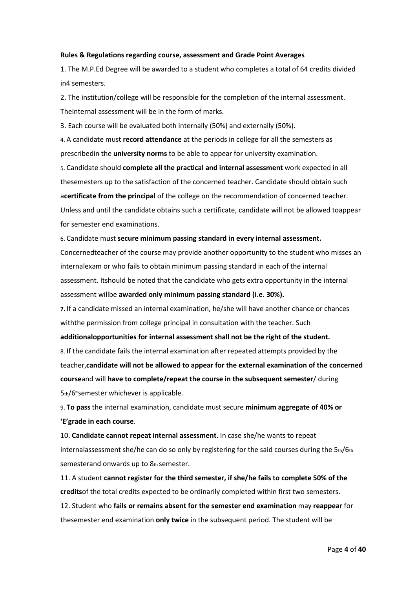#### **Rules & Regulations regarding course, assessment and Grade Point Averages**

1. The M.P.Ed Degree will be awarded to a student who completes a total of 64 credits divided in4 semesters.

2. The institution/college will be responsible for the completion of the internal assessment. Theinternal assessment will be in the form of marks.

3. Each course will be evaluated both internally (50%) and externally (50%).

4. A candidate must **record attendance** at the periods in college for all the semesters as prescribedin the **university norms** to be able to appear for university examination.

5. Candidate should **complete all the practical and internal assessment** work expected in all thesemesters up to the satisfaction of the concerned teacher. Candidate should obtain such a**certificate from the principal** of the college on the recommendation of concerned teacher. Unless and until the candidate obtains such a certificate, candidate will not be allowed toappear for semester end examinations.

## 6. Candidate must **secure minimum passing standard in every internal assessment.**

Concernedteacher of the course may provide another opportunity to the student who misses an internalexam or who fails to obtain minimum passing standard in each of the internal assessment. Itshould be noted that the candidate who gets extra opportunity in the internal assessment willbe **awarded only minimum passing standard (i.e. 30%).**

**7.** If a candidate missed an internal examination, he/she will have another chance or chances withthe permission from college principal in consultation with the teacher. Such

**additionalopportunities for internal assessment shall not be the right of the student.**

8. If the candidate fails the internal examination after repeated attempts provided by the teacher,**candidate will not be allowed to appear for the external examination of the concerned course**and will **have to complete/repeat the course in the subsequent semester**/ during  $5<sub>th</sub>/6<sup>th</sup>$ semester whichever is applicable.

9. **To pass** the internal examination, candidate must secure **minimum aggregate of 40% or 'E'grade in each course**.

10. **Candidate cannot repeat internal assessment**. In case she/he wants to repeat internalassessment she/he can do so only by registering for the said courses during the  $5th/6th$ semesterand onwards up to 8th semester.

11. A student **cannot register for the third semester, if she/he fails to complete 50% of the credits**of the total credits expected to be ordinarily completed within first two semesters. 12. Student who **fails or remains absent for the semester end examination** may **reappear** for thesemester end examination **only twice** in the subsequent period. The student will be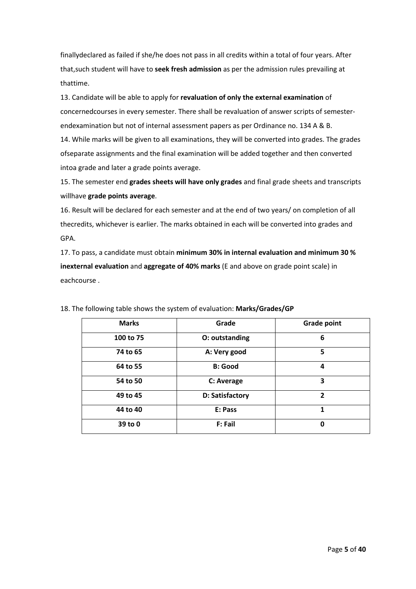finallydeclared as failed if she/he does not pass in all credits within a total of four years. After that,such student will have to **seek fresh admission** as per the admission rules prevailing at thattime.

13. Candidate will be able to apply for **revaluation of only the external examination** of concernedcourses in every semester. There shall be revaluation of answer scripts of semesterendexamination but not of internal assessment papers as per Ordinance no. 134 A & B.

14. While marks will be given to all examinations, they will be converted into grades. The grades ofseparate assignments and the final examination will be added together and then converted intoa grade and later a grade points average.

15. The semester end **grades sheets will have only grades** and final grade sheets and transcripts willhave **grade points average**.

16. Result will be declared for each semester and at the end of two years/ on completion of all thecredits, whichever is earlier. The marks obtained in each will be converted into grades and GPA.

17. To pass, a candidate must obtain **minimum 30% in internal evaluation and minimum 30 % inexternal evaluation** and **aggregate of 40% marks** (E and above on grade point scale) in eachcourse .

| <b>Marks</b> | Grade           | <b>Grade point</b> |
|--------------|-----------------|--------------------|
| 100 to 75    | O: outstanding  | 6                  |
| 74 to 65     | A: Very good    | 5                  |
| 64 to 55     | <b>B: Good</b>  | 4                  |
| 54 to 50     | C: Average      | 3                  |
| 49 to 45     | D: Satisfactory | $\overline{2}$     |
| 44 to 40     | E: Pass         | 1                  |
| 39 to 0      | F: Fail         | 0                  |

18. The following table shows the system of evaluation: **Marks/Grades/GP**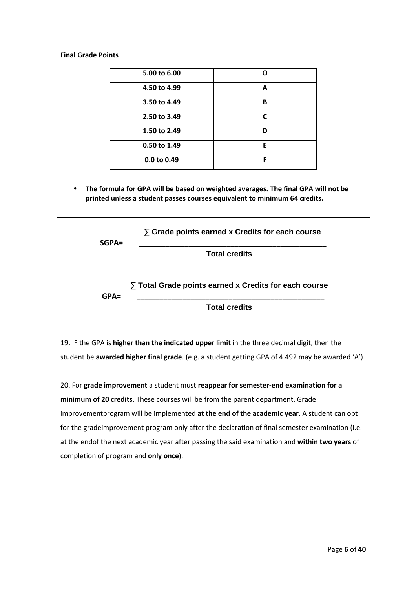#### **Final Grade Points**

| 5.00 to 6.00 | n            |
|--------------|--------------|
| 4.50 to 4.99 | A            |
| 3.50 to 4.49 | B            |
| 2.50 to 3.49 | $\mathsf{C}$ |
| 1.50 to 2.49 | ח            |
| 0.50 to 1.49 | Е            |
| 0.0 to 0.49  | F            |

• **The formula for GPA will be based on weighted averages. The final GPA will not be printed unless a student passes courses equivalent to minimum 64 credits.** 

| $SGPA =$ | $\sum$ Grade points earned x Credits for each course       |
|----------|------------------------------------------------------------|
|          | <b>Total credits</b>                                       |
| $GPA=$   | $\sum$ Total Grade points earned x Credits for each course |
|          | <b>Total credits</b>                                       |

19**.** IF the GPA is **higher than the indicated upper limit** in the three decimal digit, then the student be **awarded higher final grade**. (e.g. a student getting GPA of 4.492 may be awarded 'A').

20. For **grade improvement** a student must **reappear for semester-end examination for a minimum of 20 credits.** These courses will be from the parent department. Grade improvementprogram will be implemented **at the end of the academic year**. A student can opt for the gradeimprovement program only after the declaration of final semester examination (i.e. at the endof the next academic year after passing the said examination and **within two years** of completion of program and **only once**).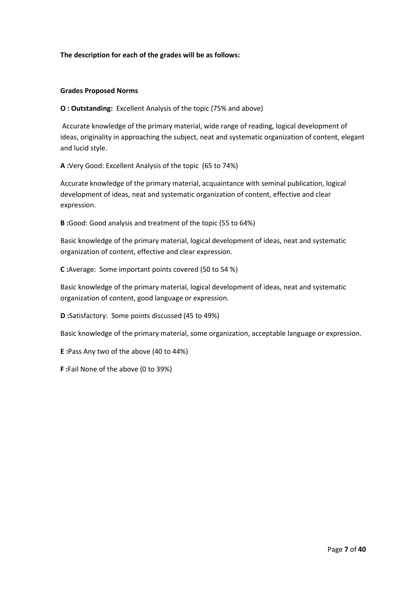### **The description for each of the grades will be as follows:**

#### **Grades Proposed Norms**

**O : Outstanding:** Excellent Analysis of the topic (75% and above)

 Accurate knowledge of the primary material, wide range of reading, logical development of ideas, originality in approaching the subject, neat and systematic organization of content, elegant and lucid style.

**A :**Very Good: Excellent Analysis of the topic (65 to 74%)

Accurate knowledge of the primary material, acquaintance with seminal publication, logical development of ideas, neat and systematic organization of content, effective and clear expression.

**B :**Good: Good analysis and treatment of the topic (55 to 64%)

Basic knowledge of the primary material, logical development of ideas, neat and systematic organization of content, effective and clear expression.

**C :**Average: Some important points covered (50 to 54 %)

Basic knowledge of the primary material, logical development of ideas, neat and systematic organization of content, good language or expression.

**D :**Satisfactory: Some points discussed (45 to 49%)

Basic knowledge of the primary material, some organization, acceptable language or expression.

**E :**Pass Any two of the above (40 to 44%)

**F :**Fail None of the above (0 to 39%)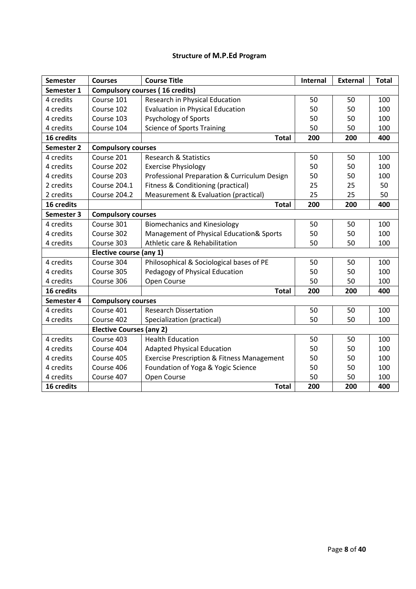## **Structure of M.P.Ed Program**

| <b>Semester</b> | <b>Courses</b>                         | <b>Course Title</b>                                   | Internal | <b>External</b> | <b>Total</b> |
|-----------------|----------------------------------------|-------------------------------------------------------|----------|-----------------|--------------|
| Semester 1      | <b>Compulsory courses (16 credits)</b> |                                                       |          |                 |              |
| 4 credits       | Course 101                             | Research in Physical Education                        | 50       | 50              | 100          |
| 4 credits       | Course 102                             | <b>Evaluation in Physical Education</b>               | 50       | 50              | 100          |
| 4 credits       | Course 103                             | <b>Psychology of Sports</b>                           | 50       | 50              | 100          |
| 4 credits       | Course 104                             | <b>Science of Sports Training</b>                     | 50       | 50              | 100          |
| 16 credits      |                                        | <b>Total</b>                                          | 200      | 200             | 400          |
| Semester 2      | <b>Compulsory courses</b>              |                                                       |          |                 |              |
| 4 credits       | Course 201                             | <b>Research &amp; Statistics</b>                      | 50       | 50              | 100          |
| 4 credits       | Course 202                             | <b>Exercise Physiology</b>                            | 50       | 50              | 100          |
| 4 credits       | Course 203                             | Professional Preparation & Curriculum Design          | 50       | 50              | 100          |
| 2 credits       | <b>Course 204.1</b>                    | Fitness & Conditioning (practical)                    | 25       | 25              | 50           |
| 2 credits       | <b>Course 204.2</b>                    | Measurement & Evaluation (practical)                  | 25       | 25              | 50           |
| 16 credits      |                                        | <b>Total</b>                                          | 200      | 200             | 400          |
| Semester 3      | <b>Compulsory courses</b>              |                                                       |          |                 |              |
| 4 credits       | Course 301                             | <b>Biomechanics and Kinesiology</b>                   | 50       | 50              | 100          |
| 4 credits       | Course 302                             | Management of Physical Education& Sports              | 50       | 50              | 100          |
| 4 credits       | Course 303                             | Athletic care & Rehabilitation                        | 50       | 50              | 100          |
|                 | Elective course (any 1)                |                                                       |          |                 |              |
| 4 credits       | Course 304                             | Philosophical & Sociological bases of PE              | 50       | 50              | 100          |
| 4 credits       | Course 305                             | Pedagogy of Physical Education                        | 50       | 50              | 100          |
| 4 credits       | Course 306                             | Open Course                                           | 50       | 50              | 100          |
| 16 credits      |                                        | <b>Total</b>                                          | 200      | 200             | 400          |
| Semester 4      | <b>Compulsory courses</b>              |                                                       |          |                 |              |
| 4 credits       | Course 401                             | <b>Research Dissertation</b>                          | 50       | 50              | 100          |
| 4 credits       | Course 402                             | Specialization (practical)                            | 50       | 50              | 100          |
|                 | <b>Elective Courses (any 2)</b>        |                                                       |          |                 |              |
| 4 credits       | Course 403                             | <b>Health Education</b>                               | 50       | 50              | 100          |
| 4 credits       | Course 404                             | <b>Adapted Physical Education</b>                     | 50       | 50              | 100          |
| 4 credits       | Course 405                             | <b>Exercise Prescription &amp; Fitness Management</b> | 50       | 50              | 100          |
| 4 credits       | Course 406                             | Foundation of Yoga & Yogic Science                    | 50       | 50              | 100          |
| 4 credits       | Course 407                             | Open Course                                           | 50       | 50              | 100          |
| 16 credits      |                                        | <b>Total</b>                                          | 200      | 200             | 400          |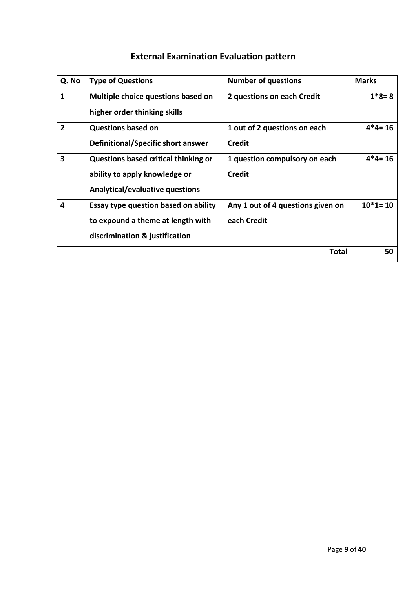| Q. No          | <b>Type of Questions</b>                    | <b>Number of questions</b>        | <b>Marks</b> |
|----------------|---------------------------------------------|-----------------------------------|--------------|
| 1              | Multiple choice questions based on          | 2 questions on each Credit        | $1*8=8$      |
|                | higher order thinking skills                |                                   |              |
| $\overline{2}$ | <b>Questions based on</b>                   | 1 out of 2 questions on each      | $4*4=16$     |
|                | Definitional/Specific short answer          | Credit                            |              |
| 3              | <b>Questions based critical thinking or</b> | 1 question compulsory on each     | $4*4=16$     |
|                | ability to apply knowledge or               | <b>Credit</b>                     |              |
|                | <b>Analytical/evaluative questions</b>      |                                   |              |
| 4              | Essay type question based on ability        | Any 1 out of 4 questions given on | $10*1 = 10$  |
|                | to expound a theme at length with           | each Credit                       |              |
|                | discrimination & justification              |                                   |              |
|                |                                             | Total                             | 50           |

# **External Examination Evaluation pattern**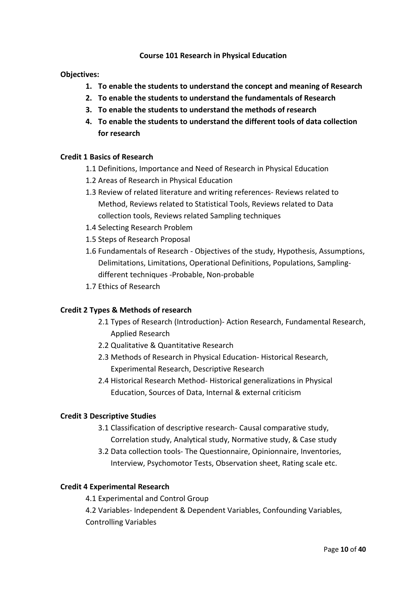## **Course 101 Research in Physical Education**

## **Objectives:**

- **1. To enable the students to understand the concept and meaning of Research**
- **2. To enable the students to understand the fundamentals of Research**
- **3. To enable the students to understand the methods of research**
- **4. To enable the students to understand the different tools of data collection for research**

## **Credit 1 Basics of Research**

- 1.1 Definitions, Importance and Need of Research in Physical Education
- 1.2 Areas of Research in Physical Education
- 1.3 Review of related literature and writing references- Reviews related to Method, Reviews related to Statistical Tools, Reviews related to Data collection tools, Reviews related Sampling techniques
- 1.4 Selecting Research Problem
- 1.5 Steps of Research Proposal
- 1.6 Fundamentals of Research Objectives of the study, Hypothesis, Assumptions, Delimitations, Limitations, Operational Definitions, Populations, Samplingdifferent techniques -Probable, Non-probable
- 1.7 Ethics of Research

## **Credit 2 Types & Methods of research**

- 2.1 Types of Research (Introduction)- Action Research, Fundamental Research, Applied Research
- 2.2 Qualitative & Quantitative Research
- 2.3 Methods of Research in Physical Education- Historical Research, Experimental Research, Descriptive Research
- 2.4 Historical Research Method- Historical generalizations in Physical Education, Sources of Data, Internal & external criticism

## **Credit 3 Descriptive Studies**

- 3.1 Classification of descriptive research- Causal comparative study, Correlation study, Analytical study, Normative study, & Case study
- 3.2 Data collection tools- The Questionnaire, Opinionnaire, Inventories, Interview, Psychomotor Tests, Observation sheet, Rating scale etc.

## **Credit 4 Experimental Research**

4.1 Experimental and Control Group

4.2 Variables- Independent & Dependent Variables, Confounding Variables, Controlling Variables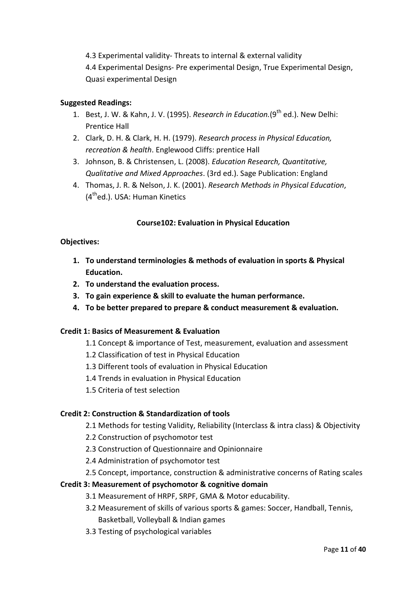4.3 Experimental validity- Threats to internal & external validity 4.4 Experimental Designs- Pre experimental Design, True Experimental Design, Quasi experimental Design

## **Suggested Readings:**

- 1. Best, J. W. & Kahn, J. V. (1995). *Research in Education*.(9<sup>th</sup> ed.). New Delhi: Prentice Hall
- 2. Clark, D. H. & Clark, H. H. (1979). *Research process in Physical Education, recreation & health*. Englewood Cliffs: prentice Hall
- 3. Johnson, B. & Christensen, L. (2008). *Education Research, Quantitative, Qualitative and Mixed Approaches*. (3rd ed.). Sage Publication: England
- 4. Thomas, J. R. & Nelson, J. K. (2001). *Research Methods in Physical Education*,  $(4<sup>th</sup>$ ed.). USA: Human Kinetics

## **Course102: Evaluation in Physical Education**

## **Objectives:**

- **1. To understand terminologies & methods of evaluation in sports & Physical Education.**
- **2. To understand the evaluation process.**
- **3. To gain experience & skill to evaluate the human performance.**
- **4. To be better prepared to prepare & conduct measurement & evaluation.**

## **Credit 1: Basics of Measurement & Evaluation**

- 1.1 Concept & importance of Test, measurement, evaluation and assessment
- 1.2 Classification of test in Physical Education
- 1.3 Different tools of evaluation in Physical Education
- 1.4 Trends in evaluation in Physical Education
- 1.5 Criteria of test selection

## **Credit 2: Construction & Standardization of tools**

- 2.1 Methods for testing Validity, Reliability (Interclass & intra class) & Objectivity
- 2.2 Construction of psychomotor test
- 2.3 Construction of Questionnaire and Opinionnaire
- 2.4 Administration of psychomotor test
- 2.5 Concept, importance, construction & administrative concerns of Rating scales

## **Credit 3: Measurement of psychomotor & cognitive domain**

- 3.1 Measurement of HRPF, SRPF, GMA & Motor educability.
- 3.2 Measurement of skills of various sports & games: Soccer, Handball, Tennis, Basketball, Volleyball & Indian games
- 3.3 Testing of psychological variables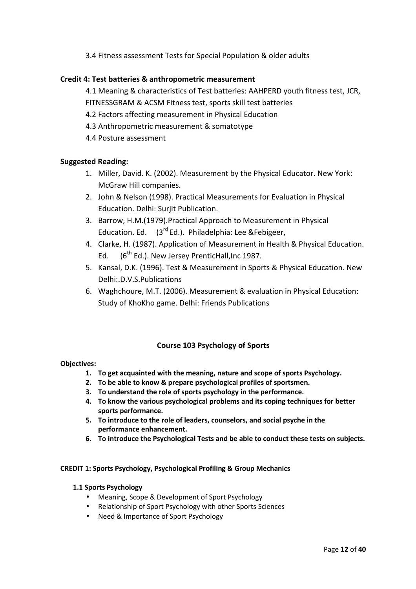3.4 Fitness assessment Tests for Special Population & older adults

## **Credit 4: Test batteries & anthropometric measurement**

4.1 Meaning & characteristics of Test batteries: AAHPERD youth fitness test, JCR, FITNESSGRAM & ACSM Fitness test, sports skill test batteries

- 4.2 Factors affecting measurement in Physical Education
- 4.3 Anthropometric measurement & somatotype
- 4.4 Posture assessment

## **Suggested Reading:**

- 1. Miller, David. K. (2002). Measurement by the Physical Educator. New York: McGraw Hill companies.
- 2. John & Nelson (1998). Practical Measurements for Evaluation in Physical Education. Delhi: Surjit Publication.
- 3. Barrow, H.M.(1979).Practical Approach to Measurement in Physical Education. Ed.  $(3^{rd}$  Ed.). Philadelphia: Lee &Febigeer,
- 4. Clarke, H. (1987). Application of Measurement in Health & Physical Education. Ed.  $(6^{th}$  Ed.). New Jersey PrenticHall, Inc 1987.
- 5. Kansal, D.K. (1996). Test & Measurement in Sports & Physical Education. New Delhi:.D.V.S.Publications
- 6. Waghchoure, M.T. (2006). Measurement & evaluation in Physical Education: Study of KhoKho game. Delhi: Friends Publications

## **Course 103 Psychology of Sports**

#### **Objectives:**

- **1. To get acquainted with the meaning, nature and scope of sports Psychology.**
- **2. To be able to know & prepare psychological profiles of sportsmen.**
- **3. To understand the role of sports psychology in the performance.**
- **4. To know the various psychological problems and its coping techniques for better sports performance.**
- **5. To introduce to the role of leaders, counselors, and social psyche in the performance enhancement.**
- **6. To introduce the Psychological Tests and be able to conduct these tests on subjects.**

#### **CREDIT 1: Sports Psychology, Psychological Profiling & Group Mechanics**

#### **1.1 Sports Psychology**

- Meaning, Scope & Development of Sport Psychology
- Relationship of Sport Psychology with other Sports Sciences
- Need & Importance of Sport Psychology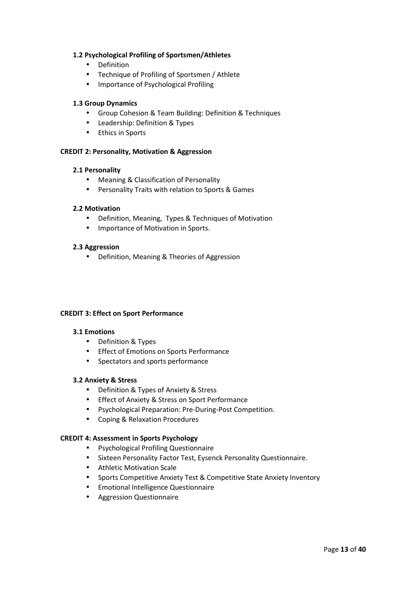### **1.2 Psychological Profiling of Sportsmen/Athletes**

- Definition
- Technique of Profiling of Sportsmen / Athlete
- Importance of Psychological Profiling

## **1.3 Group Dynamics**

- Group Cohesion & Team Building: Definition & Techniques
- Leadership: Definition & Types
- Ethics in Sports

## **CREDIT 2: Personality, Motivation & Aggression**

## **2.1 Personality**

- Meaning & Classification of Personality
- Personality Traits with relation to Sports & Games

## **2.2 Motivation**

- Definition, Meaning, Types & Techniques of Motivation
- Importance of Motivation in Sports.

#### **2.3 Aggression**

• Definition, Meaning & Theories of Aggression

#### **CREDIT 3: Effect on Sport Performance**

#### **3.1 Emotions**

- Definition & Types
- Effect of Emotions on Sports Performance
- Spectators and sports performance

#### **3.2 Anxiety & Stress**

- Definition & Types of Anxiety & Stress
- Effect of Anxiety & Stress on Sport Performance
- Psychological Preparation: Pre-During-Post Competition.
- Coping & Relaxation Procedures

#### **CREDIT 4: Assessment in Sports Psychology**

- Psychological Profiling Questionnaire
- Sixteen Personality Factor Test, Eysenck Personality Questionnaire.
- Athletic Motivation Scale
- Sports Competitive Anxiety Test & Competitive State Anxiety Inventory
- Emotional Intelligence Questionnaire
- Aggression Questionnaire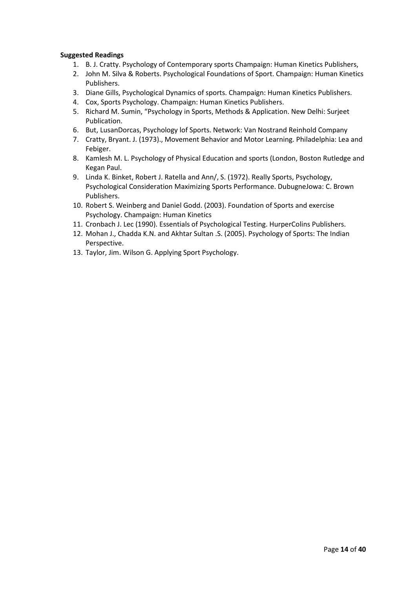## **Suggested Readings**

- 1. B. J. Cratty. Psychology of Contemporary sports Champaign: Human Kinetics Publishers,
- 2. John M. Silva & Roberts. Psychological Foundations of Sport. Champaign: Human Kinetics Publishers.
- 3. Diane Gills, Psychological Dynamics of sports. Champaign: Human Kinetics Publishers.
- 4. Cox, Sports Psychology. Champaign: Human Kinetics Publishers.
- 5. Richard M. Sumin, "Psychology in Sports, Methods & Application. New Delhi: Surjeet Publication.
- 6. But, LusanDorcas, Psychology lof Sports. Network: Van Nostrand Reinhold Company
- 7. Cratty, Bryant. J. (1973)., Movement Behavior and Motor Learning. Philadelphia: Lea and Febiger.
- 8. Kamlesh M. L. Psychology of Physical Education and sports (London, Boston Rutledge and Kegan Paul.
- 9. Linda K. Binket, Robert J. Ratella and Ann/, S. (1972). Really Sports, Psychology, Psychological Consideration Maximizing Sports Performance. DubugneJowa: C. Brown Publishers.
- 10. Robert S. Weinberg and Daniel Godd. (2003). Foundation of Sports and exercise Psychology. Champaign: Human Kinetics
- 11. Cronbach J. Lec (1990). Essentials of Psychological Testing. HurperColins Publishers.
- 12. Mohan J., Chadda K.N. and Akhtar Sultan .S. (2005). Psychology of Sports: The Indian Perspective.
- 13. Taylor, Jim. Wilson G. Applying Sport Psychology.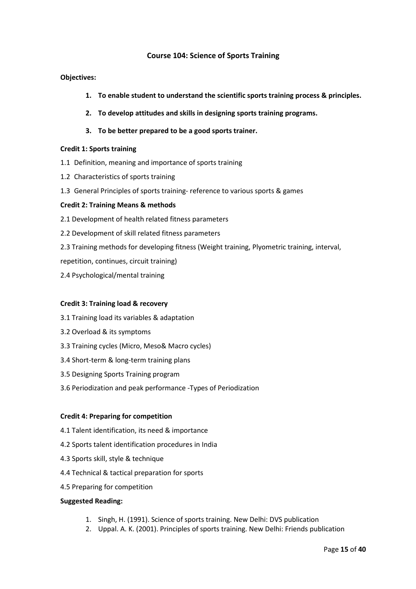## **Course 104: Science of Sports Training**

### **Objectives:**

- **1. To enable student to understand the scientific sports training process & principles.**
- **2. To develop attitudes and skills in designing sports training programs.**
- **3. To be better prepared to be a good sports trainer.**

#### **Credit 1: Sports training**

- 1.1 Definition, meaning and importance of sports training
- 1.2 Characteristics of sports training
- 1.3 General Principles of sports training- reference to various sports & games

#### **Credit 2: Training Means & methods**

- 2.1 Development of health related fitness parameters
- 2.2 Development of skill related fitness parameters
- 2.3 Training methods for developing fitness (Weight training, Plyometric training, interval,
- repetition, continues, circuit training)
- 2.4 Psychological/mental training

#### **Credit 3: Training load & recovery**

- 3.1 Training load its variables & adaptation
- 3.2 Overload & its symptoms
- 3.3 Training cycles (Micro, Meso& Macro cycles)
- 3.4 Short-term & long-term training plans
- 3.5 Designing Sports Training program
- 3.6 Periodization and peak performance -Types of Periodization

#### **Credit 4: Preparing for competition**

- 4.1 Talent identification, its need & importance
- 4.2 Sports talent identification procedures in India
- 4.3 Sports skill, style & technique
- 4.4 Technical & tactical preparation for sports
- 4.5 Preparing for competition

#### **Suggested Reading:**

- 1. Singh, H. (1991). Science of sports training. New Delhi: DVS publication
- 2. Uppal. A. K. (2001). Principles of sports training. New Delhi: Friends publication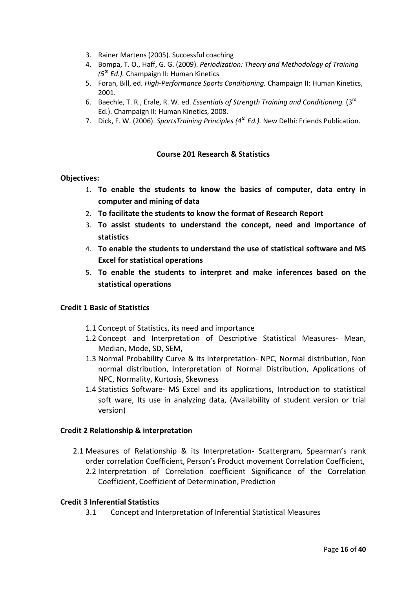- 3. Rainer Martens (2005). Successful coaching
- 4. Bompa, T. O., Haff, G. G. (2009). *Periodization: Theory and Methodology of Training (5th Ed.).* Champaign II: Human Kinetics
- 5. Foran, Bill, ed. *High-Performance Sports Conditioning.* Champaign II: Human Kinetics, 2001.
- 6. Baechle, T. R., Erale, R. W. ed. *Essentials of Strength Training and Conditioning.* (3rd Ed.). Champaign II: Human Kinetics, 2008.
- 7. Dick, F. W. (2006). *SportsTraining Principles (4th Ed.).* New Delhi: Friends Publication.

## **Course 201 Research & Statistics**

## **Objectives:**

- 1. **To enable the students to know the basics of computer, data entry in computer and mining of data**
- 2. **To facilitate the students to know the format of Research Report**
- 3. **To assist students to understand the concept, need and importance of statistics**
- 4. **To enable the students to understand the use of statistical software and MS Excel for statistical operations**
- 5. **To enable the students to interpret and make inferences based on the statistical operations**

## **Credit 1 Basic of Statistics**

- 1.1 Concept of Statistics, its need and importance
- 1.2 Concept and Interpretation of Descriptive Statistical Measures- Mean, Median, Mode, SD, SEM,
- 1.3 Normal Probability Curve & its Interpretation- NPC, Normal distribution, Non normal distribution, Interpretation of Normal Distribution, Applications of NPC, Normality, Kurtosis, Skewness
- 1.4 Statistics Software- MS Excel and its applications, Introduction to statistical soft ware, Its use in analyzing data, (Availability of student version or trial version)

#### **Credit 2 Relationship & interpretation**

2.1 Measures of Relationship & its Interpretation- Scattergram, Spearman's rank order correlation Coefficient, Person's Product movement Correlation Coefficient, 2.2 Interpretation of Correlation coefficient Significance of the Correlation Coefficient, Coefficient of Determination, Prediction

#### **Credit 3 Inferential Statistics**

3.1 Concept and Interpretation of Inferential Statistical Measures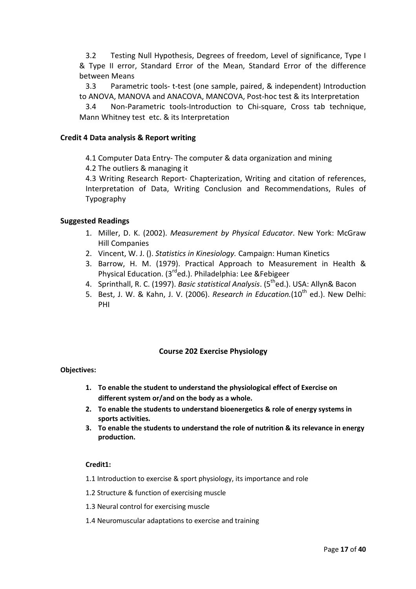3.2 Testing Null Hypothesis, Degrees of freedom, Level of significance, Type I & Type II error, Standard Error of the Mean, Standard Error of the difference between Means

3.3 Parametric tools- t-test (one sample, paired, & independent) Introduction to ANOVA, MANOVA and ANACOVA, MANCOVA, Post-hoc test & its Interpretation

3.4 Non-Parametric tools-Introduction to Chi-square, Cross tab technique, Mann Whitney test etc. & its Interpretation

## **Credit 4 Data analysis & Report writing**

4.1 Computer Data Entry- The computer & data organization and mining

4.2 The outliers & managing it

4.3 Writing Research Report- Chapterization, Writing and citation of references, Interpretation of Data, Writing Conclusion and Recommendations, Rules of Typography

## **Suggested Readings**

- 1. Miller, D. K. (2002). *Measurement by Physical Educator*. New York: McGraw Hill Companies
- 2. Vincent, W. J. (). *Statistics in Kinesiology.* Campaign: Human Kinetics
- 3. Barrow, H. M. (1979). Practical Approach to Measurement in Health & Physical Education. (3<sup>rd</sup>ed.). Philadelphia: Lee &Febigeer
- 4. Sprinthall, R. C. (1997). *Basic statistical Analysis*. (5thed.). USA: Allyn& Bacon
- 5. Best, J. W. & Kahn, J. V. (2006). *Research in Education.*(10<sup>th</sup> ed.). New Delhi: PHI

## **Course 202 Exercise Physiology**

## **Objectives:**

- **1. To enable the student to understand the physiological effect of Exercise on different system or/and on the body as a whole.**
- **2. To enable the students to understand bioenergetics & role of energy systems in sports activities.**
- **3. To enable the students to understand the role of nutrition & its relevance in energy production.**

### **Credit1:**

- 1.1 Introduction to exercise & sport physiology, its importance and role
- 1.2 Structure & function of exercising muscle
- 1.3 Neural control for exercising muscle
- 1.4 Neuromuscular adaptations to exercise and training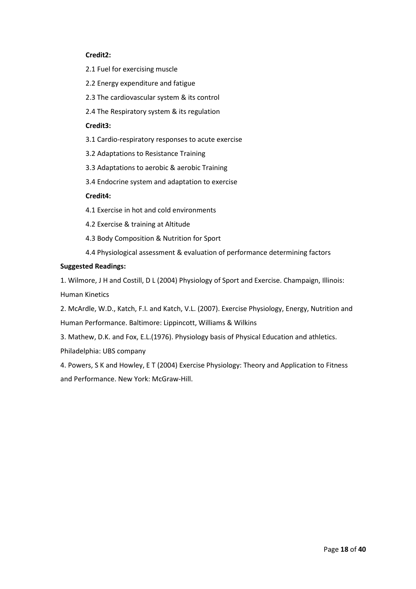#### **Credit2:**

- 2.1 Fuel for exercising muscle
- 2.2 Energy expenditure and fatigue
- 2.3 The cardiovascular system & its control
- 2.4 The Respiratory system & its regulation

#### **Credit3:**

- 3.1 Cardio-respiratory responses to acute exercise
- 3.2 Adaptations to Resistance Training
- 3.3 Adaptations to aerobic & aerobic Training
- 3.4 Endocrine system and adaptation to exercise

### **Credit4:**

- 4.1 Exercise in hot and cold environments
- 4.2 Exercise & training at Altitude
- 4.3 Body Composition & Nutrition for Sport
- 4.4 Physiological assessment & evaluation of performance determining factors

#### **Suggested Readings:**

1. Wilmore, J H and Costill, D L (2004) Physiology of Sport and Exercise. Champaign, Illinois: Human Kinetics

2. McArdle, W.D., Katch, F.I. and Katch, V.L. (2007). Exercise Physiology, Energy, Nutrition and Human Performance. Baltimore: Lippincott, Williams & Wilkins

3. Mathew, D.K. and Fox, E.L.(1976). Physiology basis of Physical Education and athletics. Philadelphia: UBS company

4. Powers, S K and Howley, E T (2004) Exercise Physiology: Theory and Application to Fitness and Performance. New York: McGraw-Hill.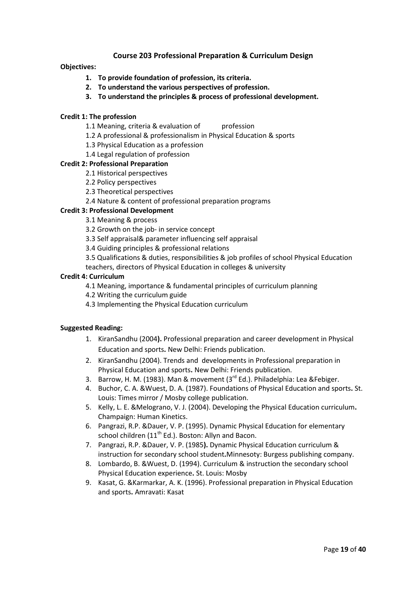## **Course 203 Professional Preparation & Curriculum Design**

### **Objectives:**

- **1. To provide foundation of profession, its criteria.**
- **2. To understand the various perspectives of profession.**
- **3. To understand the principles & process of professional development.**

### **Credit 1: The profession**

- 1.1 Meaning, criteria & evaluation of profession
- 1.2 A professional & professionalism in Physical Education & sports
- 1.3 Physical Education as a profession
- 1.4 Legal regulation of profession

#### **Credit 2: Professional Preparation**

- 2.1 Historical perspectives
- 2.2 Policy perspectives
- 2.3 Theoretical perspectives
- 2.4 Nature & content of professional preparation programs

## **Credit 3: Professional Development**

- 3.1 Meaning & process
- 3.2 Growth on the job- in service concept
- 3.3 Self appraisal& parameter influencing self appraisal
- 3.4 Guiding principles & professional relations
- 3.5 Qualifications & duties, responsibilities & job profiles of school Physical Education teachers, directors of Physical Education in colleges & university

#### **Credit 4: Curriculum**

- 4.1 Meaning, importance & fundamental principles of curriculum planning
- 4.2 Writing the curriculum guide
- 4.3 Implementing the Physical Education curriculum

#### **Suggested Reading:**

- 1. KiranSandhu (2004**).** Professional preparation and career development in Physical Education and sports**.** New Delhi: Friends publication.
- 2. KiranSandhu (2004). Trends and developments in Professional preparation in Physical Education and sports**.** New Delhi: Friends publication.
- 3. Barrow, H. M. (1983). Man & movement  $(3^{rd} Ed.)$ . Philadelphia: Lea &Febiger.
- 4. Buchor, C. A. &Wuest, D. A. (1987). Foundations of Physical Education and sports**.** St. Louis: Times mirror / Mosby college publication.
- 5. Kelly, L. E. &Melograno, V. J. (2004). Developing the Physical Education curriculum**.** Champaign: Human Kinetics.
- 6. Pangrazi, R.P. &Dauer, V. P. (1995). Dynamic Physical Education for elementary school children ( $11<sup>th</sup>$  Ed.). Boston: Allyn and Bacon.
- 7. Pangrazi, R.P. &Dauer, V. P. (1985**).** Dynamic Physical Education curriculum & instruction for secondary school student**.**Minnesoty: Burgess publishing company.
- 8. Lombardo, B. &Wuest, D. (1994). Curriculum & instruction the secondary school Physical Education experience**.** St. Louis: Mosby
- 9. Kasat, G. &Karmarkar, A. K. (1996). Professional preparation in Physical Education and sports**.** Amravati: Kasat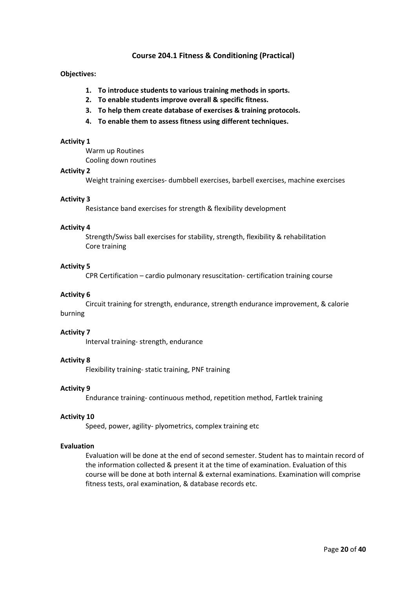## **Course 204.1 Fitness & Conditioning (Practical)**

#### **Objectives:**

- **1. To introduce students to various training methods in sports.**
- **2. To enable students improve overall & specific fitness.**
- **3. To help them create database of exercises & training protocols.**
- **4. To enable them to assess fitness using different techniques.**

#### **Activity 1**

Warm up Routines

Cooling down routines

#### **Activity 2**

Weight training exercises- dumbbell exercises, barbell exercises, machine exercises

#### **Activity 3**

Resistance band exercises for strength & flexibility development

#### **Activity 4**

Strength/Swiss ball exercises for stability, strength, flexibility & rehabilitation Core training

#### **Activity 5**

CPR Certification – cardio pulmonary resuscitation- certification training course

#### **Activity 6**

Circuit training for strength, endurance, strength endurance improvement, & calorie burning

#### **Activity 7**

Interval training- strength, endurance

#### **Activity 8**

Flexibility training- static training, PNF training

#### **Activity 9**

Endurance training- continuous method, repetition method, Fartlek training

#### **Activity 10**

Speed, power, agility- plyometrics, complex training etc

#### **Evaluation**

Evaluation will be done at the end of second semester. Student has to maintain record of the information collected & present it at the time of examination. Evaluation of this course will be done at both internal & external examinations. Examination will comprise fitness tests, oral examination, & database records etc.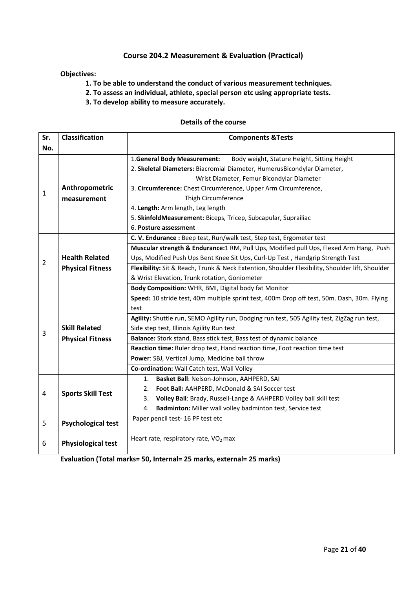## **Course 204.2 Measurement & Evaluation (Practical)**

## **Objectives:**

**1. To be able to understand the conduct of various measurement techniques.** 

- **2. To assess an individual, athlete, special person etc using appropriate tests.**
- **3. To develop ability to measure accurately.**

#### **Details of the course**

| Sr.            | <b>Classification</b>     | <b>Components &amp;Tests</b>                                                                    |  |  |  |  |
|----------------|---------------------------|-------------------------------------------------------------------------------------------------|--|--|--|--|
| No.            |                           |                                                                                                 |  |  |  |  |
|                |                           | Body weight, Stature Height, Sitting Height<br>1. General Body Measurement:                     |  |  |  |  |
|                |                           | 2. Skeletal Diameters: Biacromial Diameter, HumerusBicondylar Diameter,                         |  |  |  |  |
|                |                           | Wrist Diameter, Femur Bicondylar Diameter                                                       |  |  |  |  |
| $1\,$          | Anthropometric            | 3. Circumference: Chest Circumference, Upper Arm Circumference,                                 |  |  |  |  |
|                | measurement               | Thigh Circumference                                                                             |  |  |  |  |
|                |                           | 4. Length: Arm length, Leg length                                                               |  |  |  |  |
|                |                           | 5. SkinfoldMeasurement: Biceps, Tricep, Subcapular, Suprailiac                                  |  |  |  |  |
|                |                           | 6. Posture assessment                                                                           |  |  |  |  |
|                |                           | C. V. Endurance : Beep test, Run/walk test, Step test, Ergometer test                           |  |  |  |  |
|                |                           | Muscular strength & Endurance:1 RM, Pull Ups, Modified pull Ups, Flexed Arm Hang, Push          |  |  |  |  |
| $\overline{2}$ | <b>Health Related</b>     | Ups, Modified Push Ups Bent Knee Sit Ups, Curl-Up Test, Handgrip Strength Test                  |  |  |  |  |
|                | <b>Physical Fitness</b>   | Flexibility: Sit & Reach, Trunk & Neck Extention, Shoulder Flexibility, Shoulder lift, Shoulder |  |  |  |  |
|                |                           | & Wrist Elevation, Trunk rotation, Goniometer                                                   |  |  |  |  |
|                |                           | Body Composition: WHR, BMI, Digital body fat Monitor                                            |  |  |  |  |
|                |                           | Speed: 10 stride test, 40m multiple sprint test, 400m Drop off test, 50m. Dash, 30m. Flying     |  |  |  |  |
|                |                           | test                                                                                            |  |  |  |  |
|                |                           | Agility: Shuttle run, SEMO Agility run, Dodging run test, 505 Agility test, ZigZag run test,    |  |  |  |  |
| 3              | <b>Skill Related</b>      | Side step test, Illinois Agility Run test                                                       |  |  |  |  |
|                | <b>Physical Fitness</b>   | Balance: Stork stand, Bass stick test, Bass test of dynamic balance                             |  |  |  |  |
|                |                           | Reaction time: Ruler drop test, Hand reaction time, Foot reaction time test                     |  |  |  |  |
|                |                           | Power: SBJ, Vertical Jump, Medicine ball throw                                                  |  |  |  |  |
|                |                           | Co-ordination: Wall Catch test, Wall Volley                                                     |  |  |  |  |
|                |                           | Basket Ball: Nelson-Johnson, AAHPERD, SAI<br>1.                                                 |  |  |  |  |
| $\overline{4}$ | <b>Sports Skill Test</b>  | Foot Ball: AAHPERD, McDonald & SAI Soccer test<br>2.                                            |  |  |  |  |
|                |                           | Volley Ball: Brady, Russell-Lange & AAHPERD Volley ball skill test<br>3.                        |  |  |  |  |
|                |                           | 4.<br>Badminton: Miller wall volley badminton test, Service test                                |  |  |  |  |
| 5              | <b>Psychological test</b> | Paper pencil test- 16 PF test etc                                                               |  |  |  |  |
| 6              | <b>Physiological test</b> | Heart rate, respiratory rate, VO <sub>2</sub> max                                               |  |  |  |  |

**Evaluation (Total marks= 50, Internal= 25 marks, external= 25 marks)**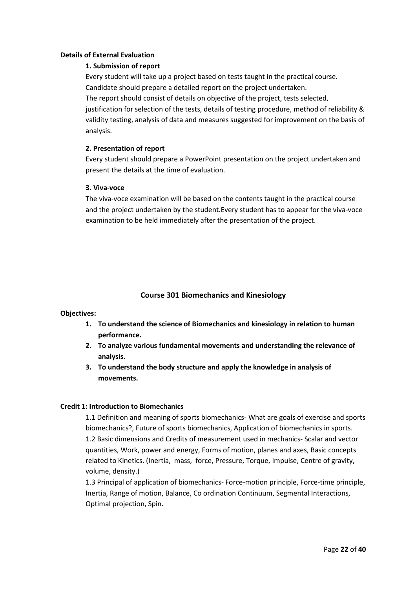#### **Details of External Evaluation**

### **1. Submission of report**

Every student will take up a project based on tests taught in the practical course. Candidate should prepare a detailed report on the project undertaken. The report should consist of details on objective of the project, tests selected, justification for selection of the tests, details of testing procedure, method of reliability & validity testing, analysis of data and measures suggested for improvement on the basis of analysis.

#### **2. Presentation of report**

Every student should prepare a PowerPoint presentation on the project undertaken and present the details at the time of evaluation.

#### **3. Viva-voce**

The viva-voce examination will be based on the contents taught in the practical course and the project undertaken by the student.Every student has to appear for the viva-voce examination to be held immediately after the presentation of the project.

### **Course 301 Biomechanics and Kinesiology**

#### **Objectives:**

- **1. To understand the science of Biomechanics and kinesiology in relation to human performance.**
- **2. To analyze various fundamental movements and understanding the relevance of analysis.**
- **3. To understand the body structure and apply the knowledge in analysis of movements.**

#### **Credit 1: Introduction to Biomechanics**

1.1 Definition and meaning of sports biomechanics- What are goals of exercise and sports biomechanics?, Future of sports biomechanics, Application of biomechanics in sports. 1.2 Basic dimensions and Credits of measurement used in mechanics- Scalar and vector quantities, Work, power and energy, Forms of motion, planes and axes, Basic concepts related to Kinetics. (Inertia, mass, force, Pressure, Torque, Impulse, Centre of gravity, volume, density.)

1.3 Principal of application of biomechanics- Force-motion principle, Force-time principle, Inertia, Range of motion, Balance, Co ordination Continuum, Segmental Interactions, Optimal projection, Spin.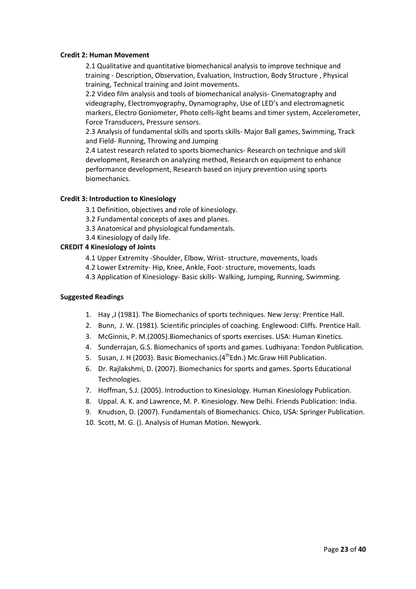#### **Credit 2: Human Movement**

2.1 Qualitative and quantitative biomechanical analysis to improve technique and training - Description, Observation, Evaluation, Instruction, Body Structure , Physical training, Technical training and Joint movements.

2.2 Video film analysis and tools of biomechanical analysis- Cinematography and videography, Electromyography, Dynamography, Use of LED's and electromagnetic markers, Electro Goniometer, Photo cells-light beams and timer system, Accelerometer, Force Transducers, Pressure sensors.

2.3 Analysis of fundamental skills and sports skills- Major Ball games, Swimming, Track and Field- Running, Throwing and Jumping

2.4 Latest research related to sports biomechanics- Research on technique and skill development, Research on analyzing method, Research on equipment to enhance performance development, Research based on injury prevention using sports biomechanics.

#### **Credit 3: Introduction to Kinesiology**

3.1 Definition, objectives and role of kinesiology.

- 3.2 Fundamental concepts of axes and planes.
- 3.3 Anatomical and physiological fundamentals.
- 3.4 Kinesiology of daily life.

#### **CREDIT 4 Kinesiology of Joints**

4.1 Upper Extremity -Shoulder, Elbow, Wrist- structure, movements, loads

- 4.2 Lower Extremity- Hip, Knee, Ankle, Foot- structure, movements, loads
- 4.3 Application of Kinesiology- Basic skills- Walking, Jumping, Running, Swimming.

#### **Suggested Readings**

- 1. Hay ,J (1981). The Biomechanics of sports techniques. New Jersy: Prentice Hall.
- 2. Bunn, J. W. (1981). Scientific principles of coaching. Englewood: Cliffs. Prentice Hall.
- 3. McGinnis, P. M.(2005).Biomechanics of sports exercises. USA: Human Kinetics.
- 4. Sunderrajan, G.S. Biomechanics of sports and games. Ludhiyana: Tondon Publication.
- 5. Susan, J. H (2003). Basic Biomechanics. (4<sup>th</sup>Edn.) Mc. Graw Hill Publication.
- 6. Dr. Rajlakshmi, D. (2007). Biomechanics for sports and games. Sports Educational Technologies.
- 7. Hoffman, S.J. (2005). Introduction to Kinesiology. Human Kinesiology Publication.
- 8. Uppal. A. K. and Lawrence, M. P. Kinesiology. New Delhi. Friends Publication: India.
- 9. Knudson, D. (2007). Fundamentals of Biomechanics. Chico, USA: Springer Publication.
- 10. Scott, M. G. (). Analysis of Human Motion. Newyork.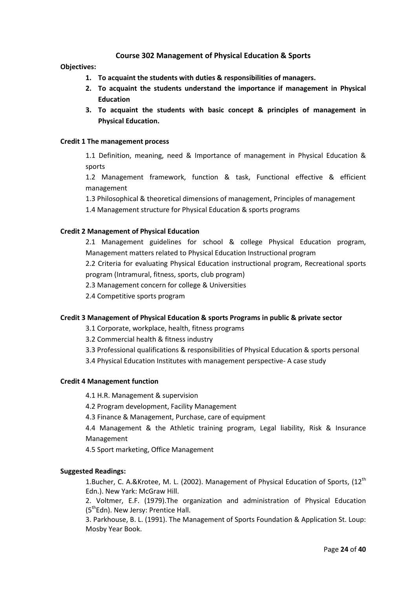## **Course 302 Management of Physical Education & Sports**

#### **Objectives:**

- **1. To acquaint the students with duties & responsibilities of managers.**
- **2. To acquaint the students understand the importance if management in Physical Education**
- **3. To acquaint the students with basic concept & principles of management in Physical Education.**

#### **Credit 1 The management process**

1.1 Definition, meaning, need & Importance of management in Physical Education & sports

1.2 Management framework, function & task, Functional effective & efficient management

1.3 Philosophical & theoretical dimensions of management, Principles of management

1.4 Management structure for Physical Education & sports programs

#### **Credit 2 Management of Physical Education**

2.1 Management guidelines for school & college Physical Education program, Management matters related to Physical Education Instructional program

2.2 Criteria for evaluating Physical Education instructional program, Recreational sports program (Intramural, fitness, sports, club program)

2.3 Management concern for college & Universities

2.4 Competitive sports program

#### **Credit 3 Management of Physical Education & sports Programs in public & private sector**

3.1 Corporate, workplace, health, fitness programs

3.2 Commercial health & fitness industry

- 3.3 Professional qualifications & responsibilities of Physical Education & sports personal
- 3.4 Physical Education Institutes with management perspective- A case study

#### **Credit 4 Management function**

4.1 H.R. Management & supervision

4.2 Program development, Facility Management

4.3 Finance & Management, Purchase, care of equipment

4.4 Management & the Athletic training program, Legal liability, Risk & Insurance Management

4.5 Sport marketing, Office Management

#### **Suggested Readings:**

1.Bucher, C. A.&Krotee, M. L. (2002). Management of Physical Education of Sports, (12<sup>th</sup> Edn.). New Yark: McGraw Hill.

2. Voltmer, E.F. (1979).The organization and administration of Physical Education  $(5<sup>th</sup>Edn)$ . New Jersy: Prentice Hall.

3. Parkhouse, B. L. (1991). The Management of Sports Foundation & Application St. Loup: Mosby Year Book.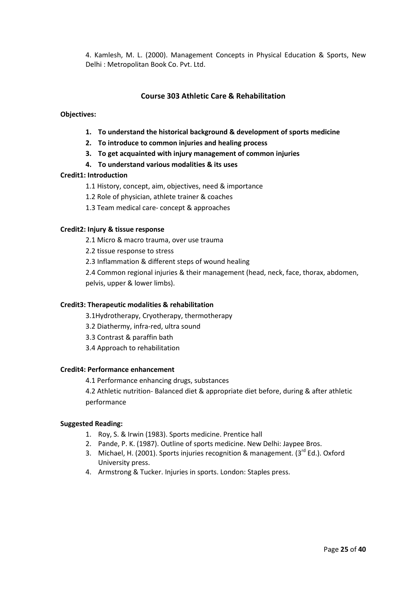4. Kamlesh, M. L. (2000). Management Concepts in Physical Education & Sports, New Delhi : Metropolitan Book Co. Pvt. Ltd.

## **Course 303 Athletic Care & Rehabilitation**

#### **Objectives:**

- **1. To understand the historical background & development of sports medicine**
- **2. To introduce to common injuries and healing process**
- **3. To get acquainted with injury management of common injuries**
- **4. To understand various modalities & its uses**

#### **Credit1: Introduction**

- 1.1 History, concept, aim, objectives, need & importance
- 1.2 Role of physician, athlete trainer & coaches
- 1.3 Team medical care- concept & approaches

#### **Credit2: Injury & tissue response**

- 2.1 Micro & macro trauma, over use trauma
- 2.2 tissue response to stress
- 2.3 Inflammation & different steps of wound healing
- 2.4 Common regional injuries & their management (head, neck, face, thorax, abdomen, pelvis, upper & lower limbs).

#### **Credit3: Therapeutic modalities & rehabilitation**

- 3.1Hydrotherapy, Cryotherapy, thermotherapy
- 3.2 Diathermy, infra-red, ultra sound
- 3.3 Contrast & paraffin bath
- 3.4 Approach to rehabilitation

#### **Credit4: Performance enhancement**

4.1 Performance enhancing drugs, substances

4.2 Athletic nutrition- Balanced diet & appropriate diet before, during & after athletic performance

#### **Suggested Reading:**

- 1. Roy, S. & Irwin (1983). Sports medicine. Prentice hall
- 2. Pande, P. K. (1987). Outline of sports medicine. New Delhi: Jaypee Bros.
- 3. Michael, H. (2001). Sports injuries recognition & management. (3<sup>rd</sup> Ed.). Oxford University press.
- 4. Armstrong & Tucker. Injuries in sports. London: Staples press.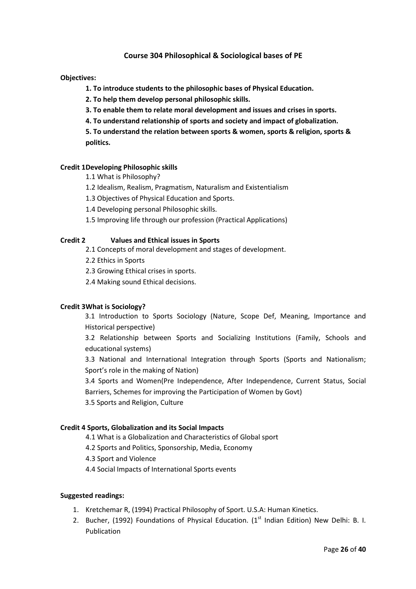## **Course 304 Philosophical & Sociological bases of PE**

#### **Objectives:**

 **1. To introduce students to the philosophic bases of Physical Education.** 

 **2. To help them develop personal philosophic skills.** 

 **3. To enable them to relate moral development and issues and crises in sports.** 

 **4. To understand relationship of sports and society and impact of globalization.** 

**5. To understand the relation between sports & women, sports & religion, sports & politics.** 

#### **Credit 1 Developing Philosophic skills**

- 1.1 What is Philosophy?
- 1.2 Idealism, Realism, Pragmatism, Naturalism and Existentialism
- 1.3 Objectives of Physical Education and Sports.
- 1.4 Developing personal Philosophic skills.
- 1.5 Improving life through our profession (Practical Applications)

#### **Credit 2 Values and Ethical issues in Sports**

- 2.1 Concepts of moral development and stages of development.
- 2.2 Ethics in Sports
- 2.3 Growing Ethical crises in sports.
- 2.4 Making sound Ethical decisions.

#### **Credit 3 What is Sociology?**

3.1 Introduction to Sports Sociology (Nature, Scope Def, Meaning, Importance and Historical perspective)

3.2 Relationship between Sports and Socializing Institutions (Family, Schools and educational systems)

3.3 National and International Integration through Sports (Sports and Nationalism; Sport's role in the making of Nation)

3.4 Sports and Women(Pre Independence, After Independence, Current Status, Social Barriers, Schemes for improving the Participation of Women by Govt)

3.5 Sports and Religion, Culture

#### **Credit 4 Sports, Globalization and its Social Impacts**

- 4.1 What is a Globalization and Characteristics of Global sport
- 4.2 Sports and Politics, Sponsorship, Media, Economy
- 4.3 Sport and Violence
- 4.4 Social Impacts of International Sports events

#### **Suggested readings:**

- 1. Kretchemar R, (1994) Practical Philosophy of Sport. U.S.A: Human Kinetics.
- 2. Bucher, (1992) Foundations of Physical Education. ( $1<sup>st</sup>$  Indian Edition) New Delhi: B. I. Publication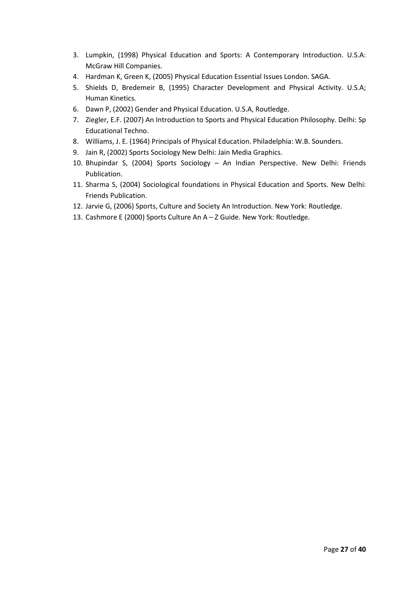- 3. Lumpkin, (1998) Physical Education and Sports: A Contemporary Introduction. U.S.A: McGraw Hill Companies.
- 4. Hardman K, Green K, (2005) Physical Education Essential Issues London. SAGA.
- 5. Shields D, Bredemeir B, (1995) Character Development and Physical Activity. U.S.A; Human Kinetics.
- 6. Dawn P, (2002) Gender and Physical Education. U.S.A, Routledge.
- 7. Ziegler, E.F. (2007) An Introduction to Sports and Physical Education Philosophy. Delhi: Sp Educational Techno.
- 8. Williams, J. E. (1964) Principals of Physical Education. Philadelphia: W.B. Sounders.
- 9. Jain R, (2002) Sports Sociology New Delhi: Jain Media Graphics.
- 10. Bhupindar S, (2004) Sports Sociology An Indian Perspective. New Delhi: Friends Publication.
- 11. Sharma S, (2004) Sociological foundations in Physical Education and Sports. New Delhi: Friends Publication.
- 12. Jarvie G, (2006) Sports, Culture and Society An Introduction. New York: Routledge.
- 13. Cashmore E (2000) Sports Culture An A Z Guide. New York: Routledge.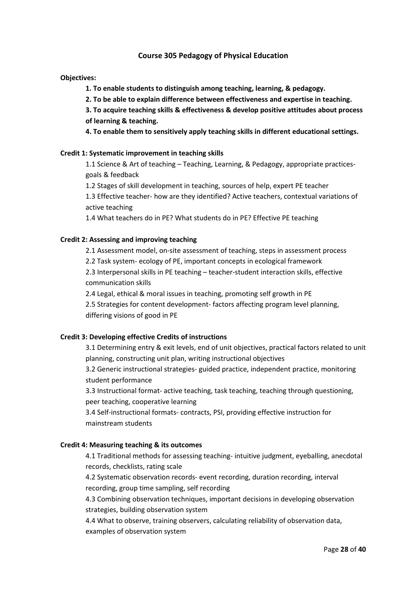## **Course 305 Pedagogy of Physical Education**

#### **Objectives:**

 **1. To enable students to distinguish among teaching, learning, & pedagogy.** 

 **2. To be able to explain difference between effectiveness and expertise in teaching.** 

**3. To acquire teaching skills & effectiveness & develop positive attitudes about process of learning & teaching.** 

**4. To enable them to sensitively apply teaching skills in different educational settings.** 

#### **Credit 1: Systematic improvement in teaching skills**

1.1 Science & Art of teaching – Teaching, Learning, & Pedagogy, appropriate practicesgoals & feedback

1.2 Stages of skill development in teaching, sources of help, expert PE teacher 1.3 Effective teacher- how are they identified? Active teachers, contextual variations of active teaching

1.4 What teachers do in PE? What students do in PE? Effective PE teaching

#### **Credit 2: Assessing and improving teaching**

2.1 Assessment model, on-site assessment of teaching, steps in assessment process

2.2 Task system- ecology of PE, important concepts in ecological framework

2.3 Interpersonal skills in PE teaching – teacher-student interaction skills, effective communication skills

2.4 Legal, ethical & moral issues in teaching, promoting self growth in PE

2.5 Strategies for content development- factors affecting program level planning, differing visions of good in PE

#### **Credit 3: Developing effective Credits of instructions**

3.1 Determining entry & exit levels, end of unit objectives, practical factors related to unit planning, constructing unit plan, writing instructional objectives

3.2 Generic instructional strategies- guided practice, independent practice, monitoring student performance

3.3 Instructional format- active teaching, task teaching, teaching through questioning, peer teaching, cooperative learning

3.4 Self-instructional formats- contracts, PSI, providing effective instruction for mainstream students

#### **Credit 4: Measuring teaching & its outcomes**

4.1 Traditional methods for assessing teaching- intuitive judgment, eyeballing, anecdotal records, checklists, rating scale

4.2 Systematic observation records- event recording, duration recording, interval recording, group time sampling, self recording

4.3 Combining observation techniques, important decisions in developing observation strategies, building observation system

4.4 What to observe, training observers, calculating reliability of observation data, examples of observation system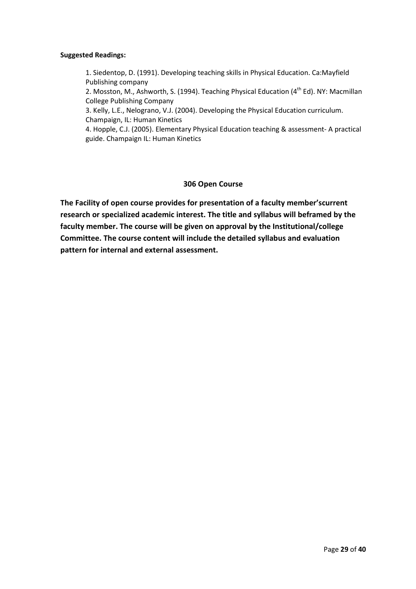### **Suggested Readings:**

1. Siedentop, D. (1991). Developing teaching skills in Physical Education. Ca:Mayfield Publishing company

2. Mosston, M., Ashworth, S. (1994). Teaching Physical Education ( $4<sup>th</sup> Ed$ ). NY: Macmillan College Publishing Company

3. Kelly, L.E., Nelograno, V.J. (2004). Developing the Physical Education curriculum. Champaign, IL: Human Kinetics

4. Hopple, C.J. (2005). Elementary Physical Education teaching & assessment- A practical guide. Champaign IL: Human Kinetics

## **306 Open Course**

**The Facility of open course provides for presentation of a faculty member'scurrent research or specialized academic interest. The title and syllabus will beframed by the faculty member. The course will be given on approval by the Institutional/college Committee. The course content will include the detailed syllabus and evaluation pattern for internal and external assessment.**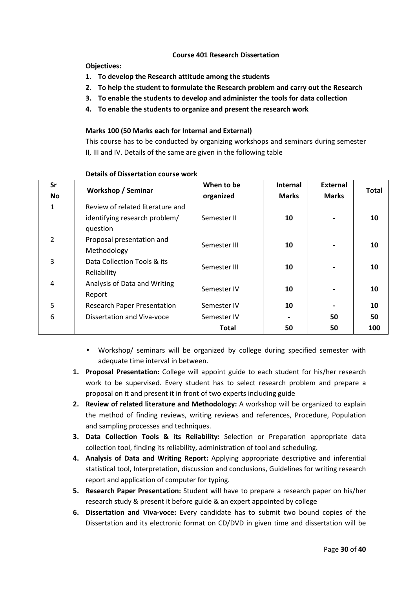#### **Course 401 Research Dissertation**

**Objectives:** 

- **1. To develop the Research attitude among the students**
- **2. To help the student to formulate the Research problem and carry out the Research**
- **3. To enable the students to develop and administer the tools for data collection**
- **4. To enable the students to organize and present the research work**

#### **Marks 100 (50 Marks each for Internal and External)**

This course has to be conducted by organizing workshops and seminars during semester II, III and IV. Details of the same are given in the following table

| Sr<br><b>No</b> | <b>Workshop / Seminar</b>                                                     | When to be<br>organized | Internal<br><b>Marks</b> | <b>External</b><br><b>Marks</b> | Total |
|-----------------|-------------------------------------------------------------------------------|-------------------------|--------------------------|---------------------------------|-------|
| 1               | Review of related literature and<br>identifying research problem/<br>question | Semester II             | 10                       |                                 | 10    |
| $\overline{2}$  | Proposal presentation and<br>Methodology                                      | Semester III            | 10                       |                                 | 10    |
| 3               | Data Collection Tools & its<br>Reliability                                    | Semester III            | 10                       |                                 | 10    |
| 4               | Analysis of Data and Writing<br>Report                                        | Semester IV             | 10                       |                                 | 10    |
| 5               | <b>Research Paper Presentation</b>                                            | Semester IV             | 10                       |                                 | 10    |
| 6               | Dissertation and Viva-voce                                                    | Semester IV             |                          | 50                              | 50    |
|                 |                                                                               | <b>Total</b>            | 50                       | 50                              | 100   |

#### **Details of Dissertation course work**

- Workshop/ seminars will be organized by college during specified semester with adequate time interval in between.
- **1. Proposal Presentation:** College will appoint guide to each student for his/her research work to be supervised. Every student has to select research problem and prepare a proposal on it and present it in front of two experts including guide
- **2. Review of related literature and Methodology:** A workshop will be organized to explain the method of finding reviews, writing reviews and references, Procedure, Population and sampling processes and techniques.
- **3. Data Collection Tools & its Reliability:** Selection or Preparation appropriate data collection tool, finding its reliability, administration of tool and scheduling.
- **4. Analysis of Data and Writing Report:** Applying appropriate descriptive and inferential statistical tool, Interpretation, discussion and conclusions, Guidelines for writing research report and application of computer for typing.
- **5. Research Paper Presentation:** Student will have to prepare a research paper on his/her research study & present it before guide & an expert appointed by college
- **6. Dissertation and Viva-voce:** Every candidate has to submit two bound copies of the Dissertation and its electronic format on CD/DVD in given time and dissertation will be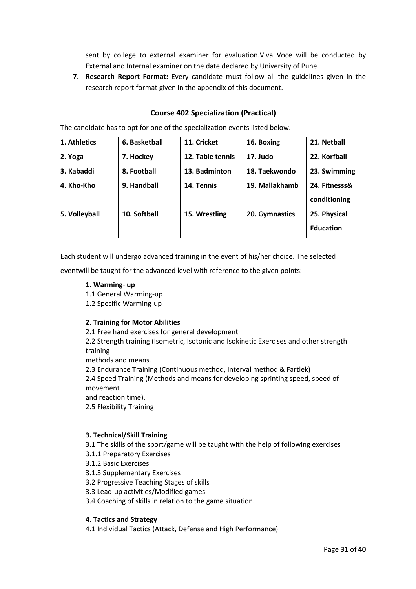sent by college to external examiner for evaluation.Viva Voce will be conducted by External and Internal examiner on the date declared by University of Pune.

**7. Research Report Format:** Every candidate must follow all the guidelines given in the research report format given in the appendix of this document.

## **Course 402 Specialization (Practical)**

The candidate has to opt for one of the specialization events listed below.

| 1. Athletics  | 6. Basketball | 11. Cricket      | 16. Boxing     | 21. Netball      |
|---------------|---------------|------------------|----------------|------------------|
| 2. Yoga       | 7. Hockey     | 12. Table tennis | 17. Judo       | 22. Korfball     |
| 3. Kabaddi    | 8. Football   | 13. Badminton    | 18. Taekwondo  | 23. Swimming     |
| 4. Kho-Kho    | 9. Handball   | 14. Tennis       | 19. Mallakhamb | 24. Fitnesss&    |
|               |               |                  |                | conditioning     |
| 5. Volleyball | 10. Softball  | 15. Wrestling    | 20. Gymnastics | 25. Physical     |
|               |               |                  |                | <b>Education</b> |

Each student will undergo advanced training in the event of his/her choice. The selected

eventwill be taught for the advanced level with reference to the given points:

## **1. Warming- up**

- 1.1 General Warming-up
- 1.2 Specific Warming-up

#### **2. Training for Motor Abilities**

2.1 Free hand exercises for general development

2.2 Strength training (Isometric, Isotonic and Isokinetic Exercises and other strength training

methods and means.

2.3 Endurance Training (Continuous method, Interval method & Fartlek)

2.4 Speed Training (Methods and means for developing sprinting speed, speed of movement

and reaction time).

2.5 Flexibility Training

#### **3. Technical/Skill Training**

3.1 The skills of the sport/game will be taught with the help of following exercises

3.1.1 Preparatory Exercises

3.1.2 Basic Exercises

3.1.3 Supplementary Exercises

3.2 Progressive Teaching Stages of skills

3.3 Lead-up activities/Modified games

3.4 Coaching of skills in relation to the game situation.

### **4. Tactics and Strategy**

4.1 Individual Tactics (Attack, Defense and High Performance)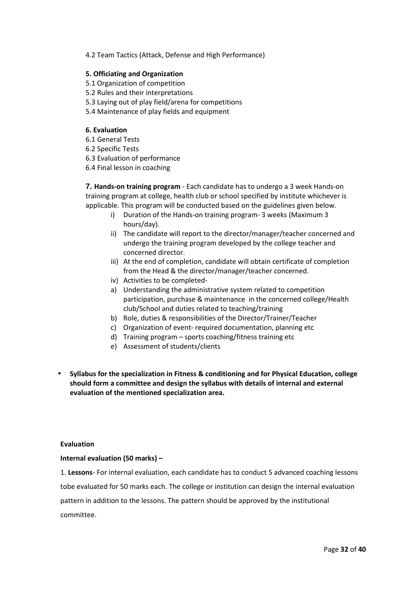4.2 Team Tactics (Attack, Defense and High Performance)

#### **5. Officiating and Organization**

- 5.1 Organization of competition
- 5.2 Rules and their interpretations
- 5.3 Laying out of play field/arena for competitions
- 5.4 Maintenance of play fields and equipment

#### **6. Evaluation**

- 6.1 General Tests
- 6.2 Specific Tests
- 6.3 Evaluation of performance
- 6.4 Final lesson in coaching

**7. Hands-on training program** - Each candidate has to undergo a 3 week Hands-on training program at college, health club or school specified by institute whichever is applicable. This program will be conducted based on the guidelines given below.

- i) Duration of the Hands-on training program- 3 weeks (Maximum 3 hours/day).
- ii) The candidate will report to the director/manager/teacher concerned and undergo the training program developed by the college teacher and concerned director.
- iii) At the end of completion, candidate will obtain certificate of completion from the Head & the director/manager/teacher concerned.
- iv) Activities to be completed-
- a) Understanding the administrative system related to competition participation, purchase & maintenance in the concerned college/Health club/School and duties related to teaching/training
- b) Role, duties & responsibilities of the Director/Trainer/Teacher
- c) Organization of event- required documentation, planning etc
- d) Training program sports coaching/fitness training etc
- e) Assessment of students/clients
- **Syllabus for the specialization in Fitness & conditioning and for Physical Education, college should form a committee and design the syllabus with details of internal and external evaluation of the mentioned specialization area.**

#### **Evaluation**

#### **Internal evaluation (50 marks) –**

1. **Lessons**- For internal evaluation, each candidate has to conduct 5 advanced coaching lessons tobe evaluated for 50 marks each. The college or institution can design the internal evaluation pattern in addition to the lessons. The pattern should be approved by the institutional committee.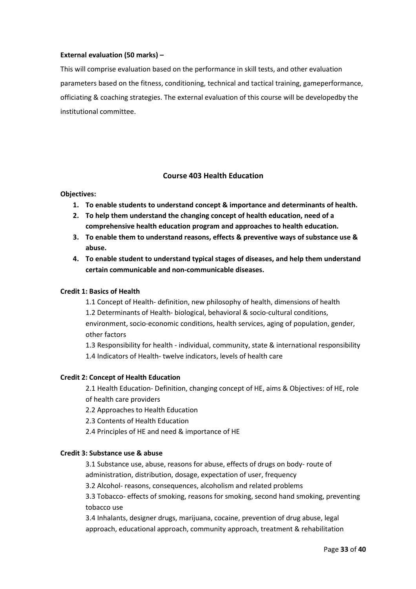### **External evaluation (50 marks) –**

This will comprise evaluation based on the performance in skill tests, and other evaluation parameters based on the fitness, conditioning, technical and tactical training, gameperformance, officiating & coaching strategies. The external evaluation of this course will be developedby the institutional committee.

## **Course 403 Health Education**

## **Objectives:**

- **1. To enable students to understand concept & importance and determinants of health.**
- **2. To help them understand the changing concept of health education, need of a comprehensive health education program and approaches to health education.**
- **3. To enable them to understand reasons, effects & preventive ways of substance use & abuse.**
- **4. To enable student to understand typical stages of diseases, and help them understand certain communicable and non-communicable diseases.**

## **Credit 1: Basics of Health**

1.1 Concept of Health- definition, new philosophy of health, dimensions of health 1.2 Determinants of Health- biological, behavioral & socio-cultural conditions, environment, socio-economic conditions, health services, aging of population, gender, other factors

1.3 Responsibility for health - individual, community, state & international responsibility 1.4 Indicators of Health- twelve indicators, levels of health care

## **Credit 2: Concept of Health Education**

2.1 Health Education- Definition, changing concept of HE, aims & Objectives: of HE, role of health care providers

- 2.2 Approaches to Health Education
- 2.3 Contents of Health Education
- 2.4 Principles of HE and need & importance of HE

#### **Credit 3: Substance use & abuse**

3.1 Substance use, abuse, reasons for abuse, effects of drugs on body- route of administration, distribution, dosage, expectation of user, frequency

3.2 Alcohol- reasons, consequences, alcoholism and related problems

3.3 Tobacco- effects of smoking, reasons for smoking, second hand smoking, preventing tobacco use

3.4 Inhalants, designer drugs, marijuana, cocaine, prevention of drug abuse, legal approach, educational approach, community approach, treatment & rehabilitation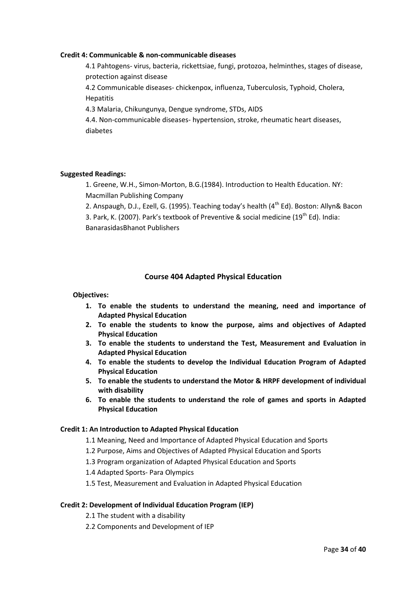#### **Credit 4: Communicable & non-communicable diseases**

4.1 Pahtogens- virus, bacteria, rickettsiae, fungi, protozoa, helminthes, stages of disease, protection against disease

4.2 Communicable diseases- chickenpox, influenza, Tuberculosis, Typhoid, Cholera, Hepatitis

4.3 Malaria, Chikungunya, Dengue syndrome, STDs, AIDS

4.4. Non-communicable diseases- hypertension, stroke, rheumatic heart diseases, diabetes

#### **Suggested Readings:**

1. Greene, W.H., Simon-Morton, B.G.(1984). Introduction to Health Education. NY: Macmillan Publishing Company

2. Anspaugh, D.J., Ezell, G. (1995). Teaching today's health (4<sup>th</sup> Ed). Boston: Allyn& Bacon

3. Park, K. (2007). Park's textbook of Preventive & social medicine (19<sup>th</sup> Ed). India: BanarasidasBhanot Publishers

## **Course 404 Adapted Physical Education**

**Objectives:** 

- **1. To enable the students to understand the meaning, need and importance of Adapted Physical Education**
- **2. To enable the students to know the purpose, aims and objectives of Adapted Physical Education**
- **3. To enable the students to understand the Test, Measurement and Evaluation in Adapted Physical Education**
- **4. To enable the students to develop the Individual Education Program of Adapted Physical Education**
- **5. To enable the students to understand the Motor & HRPF development of individual with disability**
- **6. To enable the students to understand the role of games and sports in Adapted Physical Education**

#### **Credit 1: An Introduction to Adapted Physical Education**

- 1.1 Meaning, Need and Importance of Adapted Physical Education and Sports
- 1.2 Purpose, Aims and Objectives of Adapted Physical Education and Sports
- 1.3 Program organization of Adapted Physical Education and Sports
- 1.4 Adapted Sports- Para Olympics
- 1.5 Test, Measurement and Evaluation in Adapted Physical Education

#### **Credit 2: Development of Individual Education Program (IEP)**

- 2.1 The student with a disability
- 2.2 Components and Development of IEP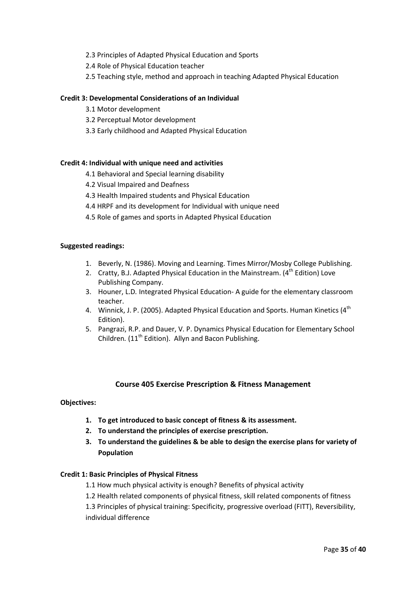- 2.3 Principles of Adapted Physical Education and Sports
- 2.4 Role of Physical Education teacher
- 2.5 Teaching style, method and approach in teaching Adapted Physical Education

### **Credit 3: Developmental Considerations of an Individual**

- 3.1 Motor development
- 3.2 Perceptual Motor development
- 3.3 Early childhood and Adapted Physical Education

#### **Credit 4: Individual with unique need and activities**

- 4.1 Behavioral and Special learning disability
- 4.2 Visual Impaired and Deafness
- 4.3 Health Impaired students and Physical Education
- 4.4 HRPF and its development for Individual with unique need
- 4.5 Role of games and sports in Adapted Physical Education

#### **Suggested readings:**

- 1. Beverly, N. (1986). Moving and Learning. Times Mirror/Mosby College Publishing.
- 2. Cratty, B.J. Adapted Physical Education in the Mainstream.  $(4<sup>th</sup>$  Edition) Love Publishing Company.
- 3. Houner, L.D*.* Integrated Physical Education- A guide for the elementary classroom teacher.
- 4. Winnick, J. P. (2005). Adapted Physical Education and Sports. Human Kinetics (4<sup>th</sup> Edition).
- 5. Pangrazi, R.P. and Dauer, V. P. Dynamics Physical Education for Elementary School Children. (11<sup>th</sup> Edition). Allyn and Bacon Publishing.

#### **Course 405 Exercise Prescription & Fitness Management**

#### **Objectives:**

- **1. To get introduced to basic concept of fitness & its assessment.**
- **2. To understand the principles of exercise prescription.**
- **3. To understand the guidelines & be able to design the exercise plans for variety of Population**

#### **Credit 1: Basic Principles of Physical Fitness**

- 1.1 How much physical activity is enough? Benefits of physical activity
- 1.2 Health related components of physical fitness, skill related components of fitness

1.3 Principles of physical training: Specificity, progressive overload (FITT), Reversibility, individual difference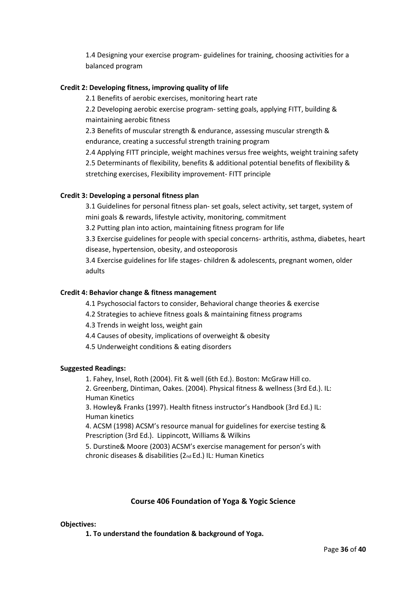1.4 Designing your exercise program- guidelines for training, choosing activities for a balanced program

## **Credit 2: Developing fitness, improving quality of life**

2.1 Benefits of aerobic exercises, monitoring heart rate

2.2 Developing aerobic exercise program- setting goals, applying FITT, building & maintaining aerobic fitness

2.3 Benefits of muscular strength & endurance, assessing muscular strength & endurance, creating a successful strength training program

2.4 Applying FITT principle, weight machines versus free weights, weight training safety 2.5 Determinants of flexibility, benefits & additional potential benefits of flexibility &

stretching exercises, Flexibility improvement- FITT principle

## **Credit 3: Developing a personal fitness plan**

3.1 Guidelines for personal fitness plan- set goals, select activity, set target, system of mini goals & rewards, lifestyle activity, monitoring, commitment

3.2 Putting plan into action, maintaining fitness program for life

3.3 Exercise guidelines for people with special concerns- arthritis, asthma, diabetes, heart disease, hypertension, obesity, and osteoporosis

3.4 Exercise guidelines for life stages- children & adolescents, pregnant women, older adults

## **Credit 4: Behavior change & fitness management**

- 4.1 Psychosocial factors to consider, Behavioral change theories & exercise
- 4.2 Strategies to achieve fitness goals & maintaining fitness programs
- 4.3 Trends in weight loss, weight gain
- 4.4 Causes of obesity, implications of overweight & obesity
- 4.5 Underweight conditions & eating disorders

#### **Suggested Readings:**

1. Fahey, Insel, Roth (2004). Fit & well (6th Ed.). Boston: McGraw Hill co.

2. Greenberg, Dintiman, Oakes. (2004). Physical fitness & wellness (3rd Ed.). IL: Human Kinetics

3. Howley& Franks (1997). Health fitness instructor's Handbook (3rd Ed.) IL: Human kinetics

4. ACSM (1998) ACSM's resource manual for guidelines for exercise testing & Prescription (3rd Ed.). Lippincott, Williams & Wilkins

5. Durstine& Moore (2003) ACSM's exercise management for person's with chronic diseases & disabilities (2nd Ed.) IL: Human Kinetics

## **Course 406 Foundation of Yoga & Yogic Science**

#### **Objectives:**

**1. To understand the foundation & background of Yoga.**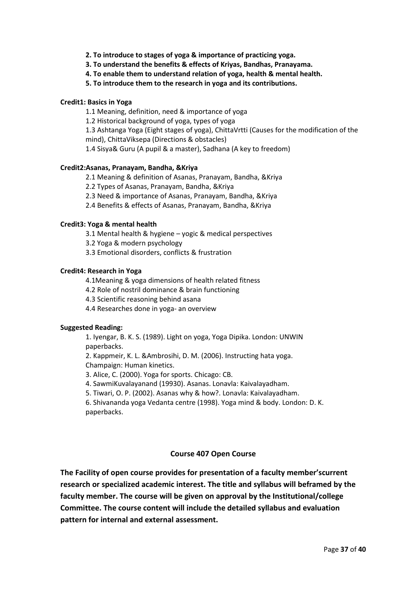- **2. To introduce to stages of yoga & importance of practicing yoga.**
- **3. To understand the benefits & effects of Kriyas, Bandhas, Pranayama.**
- **4. To enable them to understand relation of yoga, health & mental health.**
- **5. To introduce them to the research in yoga and its contributions.**

#### **Credit1: Basics in Yoga**

1.1 Meaning, definition, need & importance of yoga

1.2 Historical background of yoga, types of yoga

1.3 Ashtanga Yoga (Eight stages of yoga), ChittaVrtti (Causes for the modification of the mind), ChittaViksepa (Directions & obstacles)

1.4 Sisya& Guru (A pupil & a master), Sadhana (A key to freedom)

#### **Credit2:Asanas, Pranayam, Bandha, &Kriya**

2.1 Meaning & definition of Asanas, Pranayam, Bandha, &Kriya

2.2 Types of Asanas, Pranayam, Bandha, &Kriya

- 2.3 Need & importance of Asanas, Pranayam, Bandha, &Kriya
- 2.4 Benefits & effects of Asanas, Pranayam, Bandha, &Kriya

#### **Credit3: Yoga & mental health**

3.1 Mental health & hygiene – yogic & medical perspectives

3.2 Yoga & modern psychology

3.3 Emotional disorders, conflicts & frustration

#### **Credit4: Research in Yoga**

4.1Meaning & yoga dimensions of health related fitness

4.2 Role of nostril dominance & brain functioning

4.3 Scientific reasoning behind asana

4.4 Researches done in yoga- an overview

#### **Suggested Reading:**

1. Iyengar, B. K. S. (1989). Light on yoga, Yoga Dipika. London: UNWIN paperbacks.

2. Kappmeir, K. L. &Ambrosihi, D. M. (2006). Instructing hata yoga. Champaign: Human kinetics.

3. Alice, C. (2000). Yoga for sports. Chicago: CB.

4. SawmiKuvalayanand (19930). Asanas. Lonavla: Kaivalayadham.

5. Tiwari, O. P. (2002). Asanas why & how?. Lonavla: Kaivalayadham.

6. Shivananda yoga Vedanta centre (1998). Yoga mind & body. London: D. K. paperbacks.

## **Course 407 Open Course**

**The Facility of open course provides for presentation of a faculty member'scurrent research or specialized academic interest. The title and syllabus will beframed by the faculty member. The course will be given on approval by the Institutional/college Committee. The course content will include the detailed syllabus and evaluation pattern for internal and external assessment.**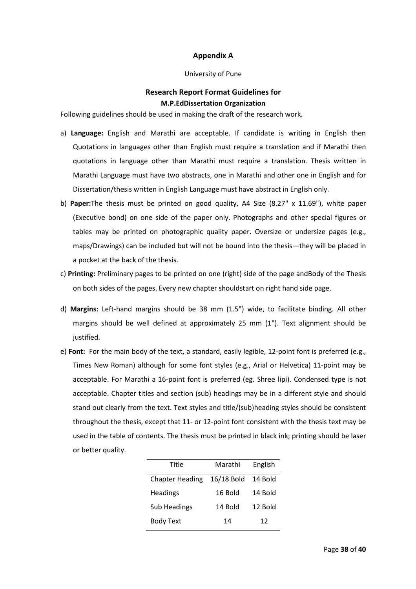## **Appendix A**

#### University of Pune

## **Research Report Format Guidelines for M.P.EdDissertation Organization**

Following guidelines should be used in making the draft of the research work.

- a) **Language:** English and Marathi are acceptable. If candidate is writing in English then Quotations in languages other than English must require a translation and if Marathi then quotations in language other than Marathi must require a translation. Thesis written in Marathi Language must have two abstracts, one in Marathi and other one in English and for Dissertation/thesis written in English Language must have abstract in English only.
- b) **Paper:**The thesis must be printed on good quality, A4 Size (8.27" x 11.69"), white paper (Executive bond) on one side of the paper only. Photographs and other special figures or tables may be printed on photographic quality paper. Oversize or undersize pages (e.g., maps/Drawings) can be included but will not be bound into the thesis—they will be placed in a pocket at the back of the thesis.
- c) **Printing:** Preliminary pages to be printed on one (right) side of the page andBody of the Thesis on both sides of the pages. Every new chapter shouldstart on right hand side page.
- d) **Margins:** Left-hand margins should be 38 mm (1.5") wide, to facilitate binding. All other margins should be well defined at approximately 25 mm (1"). Text alignment should be justified.
- e) **Font:** For the main body of the text, a standard, easily legible, 12-point font is preferred (e.g., Times New Roman) although for some font styles (e.g., Arial or Helvetica) 11-point may be acceptable. For Marathi a 16-point font is preferred (eg. Shree lipi). Condensed type is not acceptable. Chapter titles and section (sub) headings may be in a different style and should stand out clearly from the text. Text styles and title/(sub)heading styles should be consistent throughout the thesis, except that 11- or 12-point font consistent with the thesis text may be used in the table of contents. The thesis must be printed in black ink; printing should be laser or better quality.

| Title                  | Marathi    | English |
|------------------------|------------|---------|
| <b>Chapter Heading</b> | 16/18 Bold | 14 Bold |
| <b>Headings</b>        | 16 Bold    | 14 Bold |
| Sub Headings           | 14 Bold    | 12 Bold |
| <b>Body Text</b>       | 14         | 12      |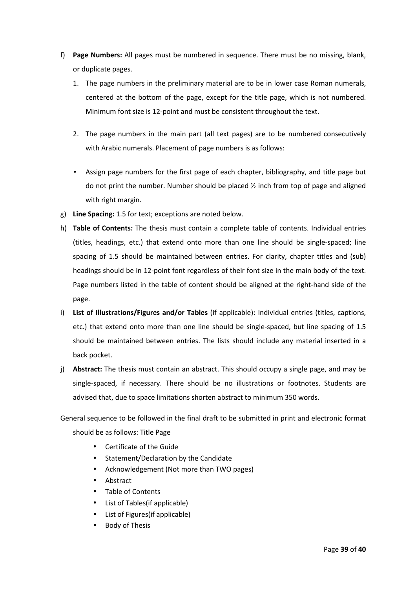- f) **Page Numbers:** All pages must be numbered in sequence. There must be no missing, blank, or duplicate pages.
	- 1. The page numbers in the preliminary material are to be in lower case Roman numerals, centered at the bottom of the page, except for the title page, which is not numbered. Minimum font size is 12-point and must be consistent throughout the text.
	- 2. The page numbers in the main part (all text pages) are to be numbered consecutively with Arabic numerals. Placement of page numbers is as follows:
	- Assign page numbers for the first page of each chapter, bibliography, and title page but do not print the number. Number should be placed  $\frac{1}{2}$  inch from top of page and aligned with right margin.
- g) **Line Spacing:** 1.5 for text; exceptions are noted below.
- h) **Table of Contents:** The thesis must contain a complete table of contents. Individual entries (titles, headings, etc.) that extend onto more than one line should be single-spaced; line spacing of 1.5 should be maintained between entries. For clarity, chapter titles and (sub) headings should be in 12-point font regardless of their font size in the main body of the text. Page numbers listed in the table of content should be aligned at the right-hand side of the page.
- i) **List of Illustrations/Figures and/or Tables** (if applicable): Individual entries (titles, captions, etc.) that extend onto more than one line should be single-spaced, but line spacing of 1.5 should be maintained between entries. The lists should include any material inserted in a back pocket.
- j) **Abstract:** The thesis must contain an abstract. This should occupy a single page, and may be single-spaced, if necessary. There should be no illustrations or footnotes. Students are advised that, due to space limitations shorten abstract to minimum 350 words.

General sequence to be followed in the final draft to be submitted in print and electronic format should be as follows: Title Page

- Certificate of the Guide
- Statement/Declaration by the Candidate
- Acknowledgement (Not more than TWO pages)
- Abstract
- Table of Contents
- List of Tables(if applicable)
- List of Figures(if applicable)
- Body of Thesis